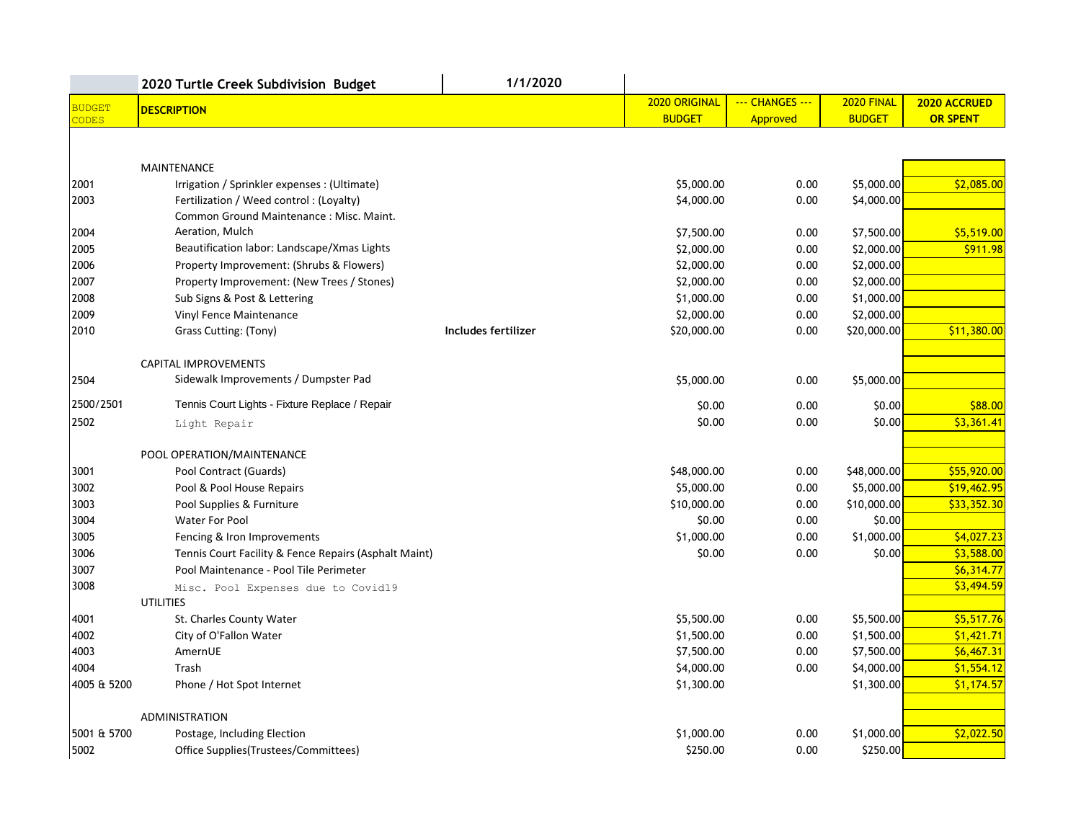|               | 2020 Turtle Creek Subdivision Budget                                                | 1/1/2020            |               |                 |               |                 |
|---------------|-------------------------------------------------------------------------------------|---------------------|---------------|-----------------|---------------|-----------------|
| <b>BUDGET</b> | <b>DESCRIPTION</b>                                                                  |                     | 2020 ORIGINAL | --- CHANGES --- | 2020 FINAL    | 2020 ACCRUED    |
| CODES         |                                                                                     |                     | <b>BUDGET</b> | Approved        | <b>BUDGET</b> | <b>OR SPENT</b> |
|               |                                                                                     |                     |               |                 |               |                 |
|               |                                                                                     |                     |               |                 |               |                 |
|               | <b>MAINTENANCE</b>                                                                  |                     |               |                 |               |                 |
| 2001          | Irrigation / Sprinkler expenses : (Ultimate)                                        |                     | \$5,000.00    | 0.00            | \$5,000.00    | \$2,085.00      |
| 2003          | Fertilization / Weed control : (Loyalty)<br>Common Ground Maintenance: Misc. Maint. |                     | \$4,000.00    | 0.00            | \$4,000.00    |                 |
| 2004          | Aeration, Mulch                                                                     |                     | \$7,500.00    | 0.00            | \$7,500.00    | \$5,519.00      |
| 2005          | Beautification labor: Landscape/Xmas Lights                                         |                     | \$2,000.00    | 0.00            | \$2,000.00    | \$911.98        |
| 2006          | Property Improvement: (Shrubs & Flowers)                                            |                     | \$2,000.00    | 0.00            | \$2,000.00    |                 |
| 2007          | Property Improvement: (New Trees / Stones)                                          |                     | \$2,000.00    | 0.00            | \$2,000.00    |                 |
| 2008          | Sub Signs & Post & Lettering                                                        |                     | \$1,000.00    | 0.00            | \$1,000.00    |                 |
| 2009          | Vinyl Fence Maintenance                                                             |                     | \$2,000.00    | 0.00            | \$2,000.00    |                 |
| 2010          | Grass Cutting: (Tony)                                                               | Includes fertilizer | \$20,000.00   | 0.00            | \$20,000.00   | \$11,380.00     |
|               |                                                                                     |                     |               |                 |               |                 |
|               | <b>CAPITAL IMPROVEMENTS</b>                                                         |                     |               |                 |               |                 |
| 2504          | Sidewalk Improvements / Dumpster Pad                                                |                     | \$5,000.00    | 0.00            | \$5,000.00    |                 |
| 2500/2501     | Tennis Court Lights - Fixture Replace / Repair                                      |                     | \$0.00        | 0.00            | \$0.00        | \$88.00         |
| 2502          | Light Repair                                                                        |                     | \$0.00        | 0.00            | \$0.00        | \$3,361.41      |
|               | POOL OPERATION/MAINTENANCE                                                          |                     |               |                 |               |                 |
| 3001          | Pool Contract (Guards)                                                              |                     | \$48,000.00   | 0.00            | \$48,000.00   | \$55,920.00     |
| 3002          | Pool & Pool House Repairs                                                           |                     | \$5,000.00    | 0.00            | \$5,000.00    | \$19,462.95     |
| 3003          | Pool Supplies & Furniture                                                           |                     | \$10,000.00   | 0.00            | \$10,000.00   | \$33,352.30     |
| 3004          | Water For Pool                                                                      |                     | \$0.00        | 0.00            | \$0.00        |                 |
| 3005          | Fencing & Iron Improvements                                                         |                     | \$1,000.00    | 0.00            | \$1,000.00    | \$4,027.23      |
| 3006          | Tennis Court Facility & Fence Repairs (Asphalt Maint)                               |                     | \$0.00        | 0.00            | \$0.00        | \$3,588.00      |
| 3007          | Pool Maintenance - Pool Tile Perimeter                                              |                     |               |                 |               | \$6,314.77      |
| 3008          | Misc. Pool Expenses due to Covid19                                                  |                     |               |                 |               | \$3,494.59      |
|               | <b>UTILITIES</b>                                                                    |                     |               |                 |               |                 |
| 4001          | St. Charles County Water                                                            |                     | \$5,500.00    | 0.00            | \$5,500.00    | \$5,517.76      |
| 4002          | City of O'Fallon Water                                                              |                     | \$1,500.00    | 0.00            | \$1,500.00    | \$1,421.71      |
| 4003          | AmernUE                                                                             |                     | \$7,500.00    | 0.00            | \$7,500.00    | \$6,467.31      |
| 4004          | Trash                                                                               |                     | \$4,000.00    | 0.00            | \$4,000.00    | \$1,554.12      |
| 4005 & 5200   | Phone / Hot Spot Internet                                                           |                     | \$1,300.00    |                 | \$1,300.00    | \$1,174.57      |
|               |                                                                                     |                     |               |                 |               |                 |
|               | <b>ADMINISTRATION</b>                                                               |                     |               |                 |               |                 |
| 5001 & 5700   | Postage, Including Election                                                         |                     | \$1,000.00    | 0.00            | \$1,000.00    | \$2,022.50      |
| 5002          | Office Supplies(Trustees/Committees)                                                |                     | \$250.00      | 0.00            | \$250.00      |                 |